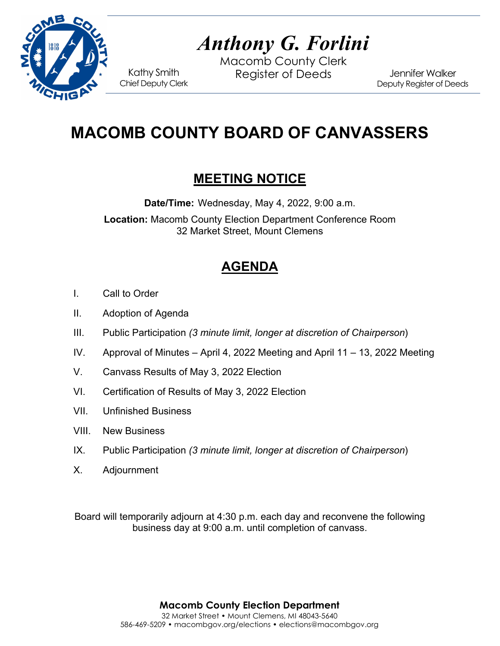

# *Anthony G. Forlini*

Macomb County Clerk Kathy Smith Register of Deeds<br>Chief Deputy Clerk

Jennifer Walker Deputy Register of Deeds

## **MACOMB COUNTY BOARD OF CANVASSERS**

### **MEETING NOTICE**

**Date/Time:** Wednesday, May 4, 2022, 9:00 a.m. **Location:** Macomb County Election Department Conference Room 32 Market Street, Mount Clemens

### **AGENDA**

- I. Call to Order
- II. Adoption of Agenda
- III. Public Participation *(3 minute limit, longer at discretion of Chairperson*)
- IV. Approval of Minutes April 4, 2022 Meeting and April 11 13, 2022 Meeting
- V. Canvass Results of May 3, 2022 Election
- VI. Certification of Results of May 3, 2022 Election
- VII. Unfinished Business
- VIII. New Business
- IX. Public Participation *(3 minute limit, longer at discretion of Chairperson*)
- X. Adjournment

Board will temporarily adjourn at 4:30 p.m. each day and reconvene the following business day at 9:00 a.m. until completion of canvass.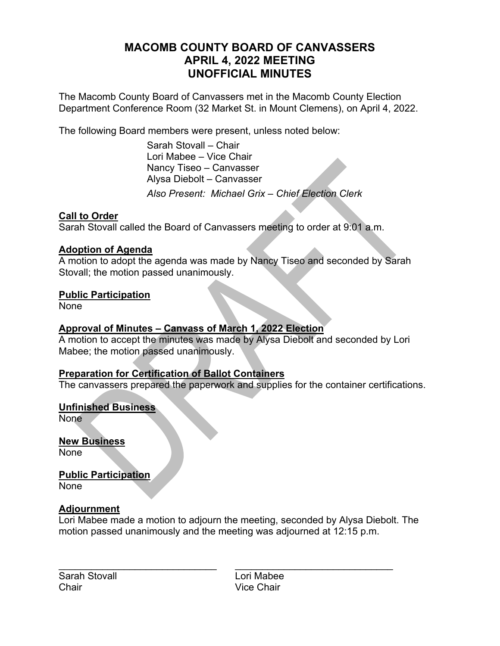### **MACOMB COUNTY BOARD OF CANVASSERS APRIL 4, 2022 MEETING UNOFFICIAL MINUTES**

The Macomb County Board of Canvassers met in the Macomb County Election Department Conference Room (32 Market St. in Mount Clemens), on April 4, 2022.

The following Board members were present, unless noted below:

 Sarah Stovall – Chair Lori Mabee – Vice Chair Nancy Tiseo – Canvasser Alysa Diebolt – Canvasser *Also Present: Michael Grix – Chief Election Clerk* 

#### **Call to Order**

Sarah Stovall called the Board of Canvassers meeting to order at 9:01 a.m.

#### **Adoption of Agenda**

A motion to adopt the agenda was made by Nancy Tiseo and seconded by Sarah Stovall; the motion passed unanimously.

#### **Public Participation**

None

#### **Approval of Minutes – Canvass of March 1, 2022 Election**

A motion to accept the minutes was made by Alysa Diebolt and seconded by Lori Mabee; the motion passed unanimously.

#### **Preparation for Certification of Ballot Containers**

The canvassers prepared the paperwork and supplies for the container certifications.

#### **Unfinished Business**

None

**New Business**  None

**Public Participation**  None

#### **Adjournment**

Lori Mabee made a motion to adjourn the meeting, seconded by Alysa Diebolt. The motion passed unanimously and the meeting was adjourned at 12:15 p.m.

Sarah Stovall **Lori Mabee** Chair Vice Chair

 $\mathcal{L}_\text{max}$  , and the contribution of the contribution of the contribution of the contribution of the contribution of the contribution of the contribution of the contribution of the contribution of the contribution of t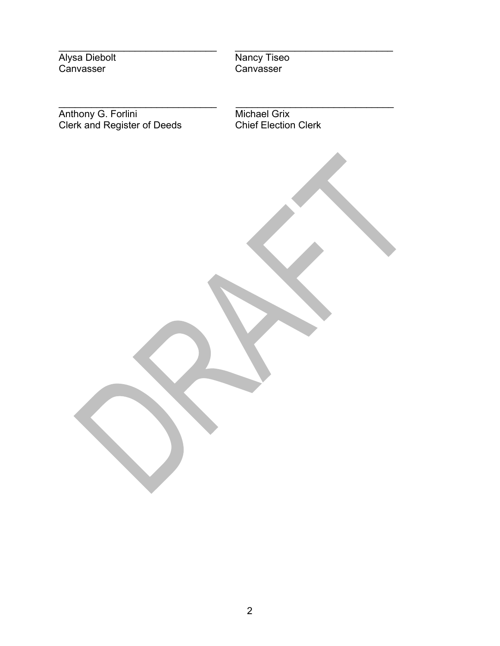$\_$ Alysa Diebolt Nancy Tiseo Canvasser Canvasser

\_\_\_\_\_\_\_\_\_\_\_\_\_\_\_\_\_\_\_\_\_\_\_\_\_\_\_\_\_ \_\_\_\_\_\_\_\_\_\_\_\_\_\_\_\_\_\_\_\_\_\_\_\_\_\_\_\_\_

Anthony G. Forlini **Michael Grix** Clerk and Register of Deeds Chief Election Clerk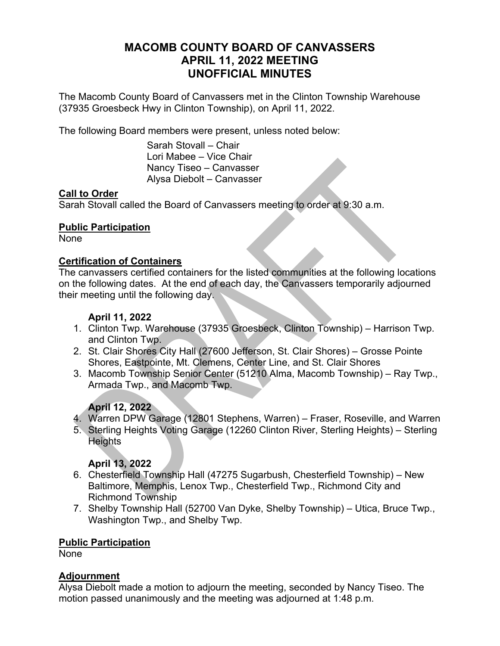#### **MACOMB COUNTY BOARD OF CANVASSERS APRIL 11, 2022 MEETING UNOFFICIAL MINUTES**

The Macomb County Board of Canvassers met in the Clinton Township Warehouse (37935 Groesbeck Hwy in Clinton Township), on April 11, 2022.

The following Board members were present, unless noted below:

 Sarah Stovall – Chair Lori Mabee – Vice Chair Nancy Tiseo – Canvasser Alysa Diebolt – Canvasser

#### **Call to Order**

Sarah Stovall called the Board of Canvassers meeting to order at 9:30 a.m.

#### **Public Participation**

None

#### **Certification of Containers**

The canvassers certified containers for the listed communities at the following locations on the following dates. At the end of each day, the Canvassers temporarily adjourned their meeting until the following day.

#### **April 11, 2022**

- 1. Clinton Twp. Warehouse (37935 Groesbeck, Clinton Township) Harrison Twp. and Clinton Twp.
- 2. St. Clair Shores City Hall (27600 Jefferson, St. Clair Shores) Grosse Pointe Shores, Eastpointe, Mt. Clemens, Center Line, and St. Clair Shores
- 3. Macomb Township Senior Center (51210 Alma, Macomb Township) Ray Twp., Armada Twp., and Macomb Twp.

#### **April 12, 2022**

- 4. Warren DPW Garage (12801 Stephens, Warren) Fraser, Roseville, and Warren
- 5. Sterling Heights Voting Garage (12260 Clinton River, Sterling Heights) Sterling **Heights**

#### **April 13, 2022**

- 6. Chesterfield Township Hall (47275 Sugarbush, Chesterfield Township) New Baltimore, Memphis, Lenox Twp., Chesterfield Twp., Richmond City and Richmond Township
- 7. Shelby Township Hall (52700 Van Dyke, Shelby Township) Utica, Bruce Twp., Washington Twp., and Shelby Twp.

#### **Public Participation**

None

#### **Adjournment**

Alysa Diebolt made a motion to adjourn the meeting, seconded by Nancy Tiseo. The motion passed unanimously and the meeting was adjourned at 1:48 p.m.